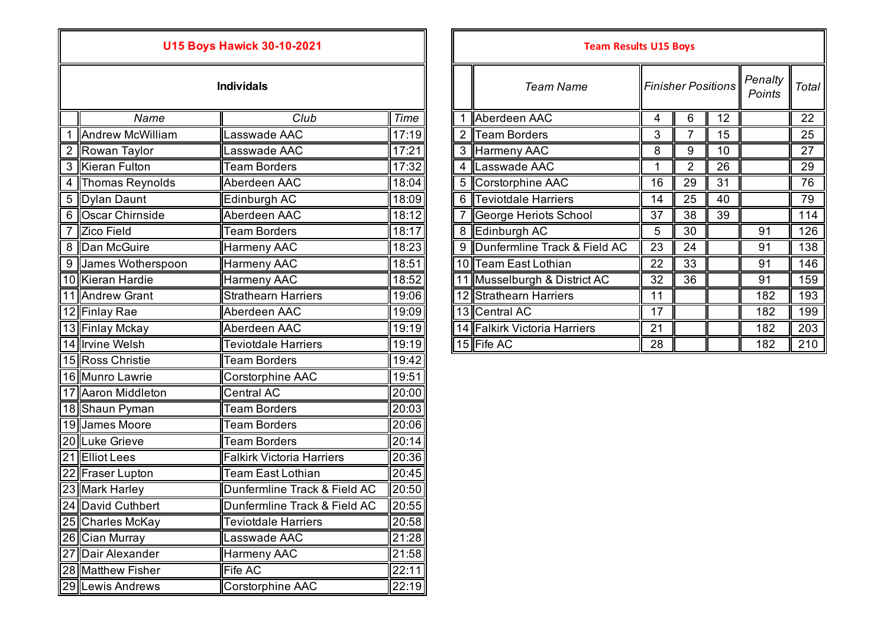## **U15 Boys Hawick 30-10-2021**

| Individals |  |  |  |
|------------|--|--|--|
|            |  |  |  |
|            |  |  |  |

| $6\phantom{1}6$<br>$\overline{12}$<br>Name<br>Club<br><b>Time</b><br>Aberdeen AAC<br>$\overline{4}$<br>17:19<br>3<br>$\overline{7}$<br>1 Andrew McWilliam<br>Lasswade AAC<br><b>Team Borders</b><br>15<br>17:21<br>8<br>9<br>2 Rowan Taylor<br>3<br>Harmeny AAC<br>10<br>Lasswade AAC<br>17:32<br>$\overline{2}$<br><b>Kieran Fulton</b><br><b>Team Borders</b><br>Lasswade AAC<br>26<br>3<br>4<br><b>Thomas Reynolds</b><br>Aberdeen AAC<br>18:04<br>Corstorphine AAC<br>29<br>$\overline{31}$<br>16<br>$\overline{4}$<br>Teviotdale Harriers<br><b>Dylan Daunt</b><br>Edinburgh AC<br>18:09<br>14<br>25<br>40<br>$5\phantom{.0}$<br>6<br>Oscar Chirnside<br>Aberdeen AAC<br>18:12<br>38<br>39<br>6<br>George Heriots School<br>37<br>18:17<br><b>Team Borders</b><br>5<br>$\overline{30}$<br><b>Zico Field</b><br>Edinburgh AC<br>91<br>$\overline{7}$<br>8<br>Dunfermline Track & Field AC<br>Dan McGuire<br>18:23<br>23<br>8<br><b>Harmeny AAC</b><br>9<br>24<br>91<br>18:51<br>10 Team East Lothian<br>22<br>33<br>James Wotherspoon<br><b>Harmeny AAC</b><br>91<br>$9 \mid$<br>18:52<br>11 Musselburgh & District AC<br>32<br>36<br>10 Kieran Hardie<br><b>Harmeny AAC</b><br>91<br>11 Andrew Grant<br><b>Strathearn Harriers</b><br>19:06<br>12 Strathearn Harriers<br>11<br>182<br>17<br>19:09<br>13 Central AC<br>12 Finlay Rae<br>Aberdeen AAC<br>182<br>Aberdeen AAC<br>19:19<br>14 Falkirk Victoria Harriers<br>21<br>182<br>13 Finlay Mckay<br>19:19<br>15 Fife AC<br>14 Irvine Welsh<br>28<br><b>Teviotdale Harriers</b><br>182<br>19:42<br>15 Ross Christie<br><b>Team Borders</b><br>19:51<br>16 Munro Lawrie<br>Corstorphine AAC<br>20:00<br>17 Aaron Middleton<br><b>Central AC</b><br>18 Shaun Pyman<br><b>Team Borders</b><br>20:03<br>20:06<br><b>Team Borders</b><br>19 James Moore<br>20:14<br>20 Luke Grieve<br><b>Team Borders</b><br>21 Elliot Lees<br>20:36<br><b>Falkirk Victoria Harriers</b><br>20:45<br>22 Fraser Lupton<br>Team East Lothian<br>23 Mark Harley<br>Dunfermline Track & Field AC<br>20:50<br>24 David Cuthbert<br>Dunfermline Track & Field AC<br>20:55<br>20:58<br>25 Charles McKay<br><b>Teviotdale Harriers</b><br>26 Cian Murray<br>21:28<br>Lasswade AAC<br>21:58<br>27 Dair Alexander<br><b>Harmeny AAC</b><br>28 Matthew Fisher<br>22:11<br><b>Fife AC</b><br>29 Lewis Andrews<br>22:19<br><b>Corstorphine AAC</b> |  |  |  |  |  |  |  |  |  |     |
|-------------------------------------------------------------------------------------------------------------------------------------------------------------------------------------------------------------------------------------------------------------------------------------------------------------------------------------------------------------------------------------------------------------------------------------------------------------------------------------------------------------------------------------------------------------------------------------------------------------------------------------------------------------------------------------------------------------------------------------------------------------------------------------------------------------------------------------------------------------------------------------------------------------------------------------------------------------------------------------------------------------------------------------------------------------------------------------------------------------------------------------------------------------------------------------------------------------------------------------------------------------------------------------------------------------------------------------------------------------------------------------------------------------------------------------------------------------------------------------------------------------------------------------------------------------------------------------------------------------------------------------------------------------------------------------------------------------------------------------------------------------------------------------------------------------------------------------------------------------------------------------------------------------------------------------------------------------------------------------------------------------------------------------------------------------------------------------------------------------------------------------------------------------------------------------------------------------------------------------------------------------------------------------------------------------------------------------------------------------------------|--|--|--|--|--|--|--|--|--|-----|
|                                                                                                                                                                                                                                                                                                                                                                                                                                                                                                                                                                                                                                                                                                                                                                                                                                                                                                                                                                                                                                                                                                                                                                                                                                                                                                                                                                                                                                                                                                                                                                                                                                                                                                                                                                                                                                                                                                                                                                                                                                                                                                                                                                                                                                                                                                                                                                         |  |  |  |  |  |  |  |  |  | 22  |
|                                                                                                                                                                                                                                                                                                                                                                                                                                                                                                                                                                                                                                                                                                                                                                                                                                                                                                                                                                                                                                                                                                                                                                                                                                                                                                                                                                                                                                                                                                                                                                                                                                                                                                                                                                                                                                                                                                                                                                                                                                                                                                                                                                                                                                                                                                                                                                         |  |  |  |  |  |  |  |  |  | 25  |
|                                                                                                                                                                                                                                                                                                                                                                                                                                                                                                                                                                                                                                                                                                                                                                                                                                                                                                                                                                                                                                                                                                                                                                                                                                                                                                                                                                                                                                                                                                                                                                                                                                                                                                                                                                                                                                                                                                                                                                                                                                                                                                                                                                                                                                                                                                                                                                         |  |  |  |  |  |  |  |  |  | 27  |
|                                                                                                                                                                                                                                                                                                                                                                                                                                                                                                                                                                                                                                                                                                                                                                                                                                                                                                                                                                                                                                                                                                                                                                                                                                                                                                                                                                                                                                                                                                                                                                                                                                                                                                                                                                                                                                                                                                                                                                                                                                                                                                                                                                                                                                                                                                                                                                         |  |  |  |  |  |  |  |  |  | 29  |
|                                                                                                                                                                                                                                                                                                                                                                                                                                                                                                                                                                                                                                                                                                                                                                                                                                                                                                                                                                                                                                                                                                                                                                                                                                                                                                                                                                                                                                                                                                                                                                                                                                                                                                                                                                                                                                                                                                                                                                                                                                                                                                                                                                                                                                                                                                                                                                         |  |  |  |  |  |  |  |  |  | 76  |
|                                                                                                                                                                                                                                                                                                                                                                                                                                                                                                                                                                                                                                                                                                                                                                                                                                                                                                                                                                                                                                                                                                                                                                                                                                                                                                                                                                                                                                                                                                                                                                                                                                                                                                                                                                                                                                                                                                                                                                                                                                                                                                                                                                                                                                                                                                                                                                         |  |  |  |  |  |  |  |  |  | 79  |
|                                                                                                                                                                                                                                                                                                                                                                                                                                                                                                                                                                                                                                                                                                                                                                                                                                                                                                                                                                                                                                                                                                                                                                                                                                                                                                                                                                                                                                                                                                                                                                                                                                                                                                                                                                                                                                                                                                                                                                                                                                                                                                                                                                                                                                                                                                                                                                         |  |  |  |  |  |  |  |  |  | 114 |
|                                                                                                                                                                                                                                                                                                                                                                                                                                                                                                                                                                                                                                                                                                                                                                                                                                                                                                                                                                                                                                                                                                                                                                                                                                                                                                                                                                                                                                                                                                                                                                                                                                                                                                                                                                                                                                                                                                                                                                                                                                                                                                                                                                                                                                                                                                                                                                         |  |  |  |  |  |  |  |  |  | 126 |
|                                                                                                                                                                                                                                                                                                                                                                                                                                                                                                                                                                                                                                                                                                                                                                                                                                                                                                                                                                                                                                                                                                                                                                                                                                                                                                                                                                                                                                                                                                                                                                                                                                                                                                                                                                                                                                                                                                                                                                                                                                                                                                                                                                                                                                                                                                                                                                         |  |  |  |  |  |  |  |  |  | 138 |
|                                                                                                                                                                                                                                                                                                                                                                                                                                                                                                                                                                                                                                                                                                                                                                                                                                                                                                                                                                                                                                                                                                                                                                                                                                                                                                                                                                                                                                                                                                                                                                                                                                                                                                                                                                                                                                                                                                                                                                                                                                                                                                                                                                                                                                                                                                                                                                         |  |  |  |  |  |  |  |  |  | 146 |
|                                                                                                                                                                                                                                                                                                                                                                                                                                                                                                                                                                                                                                                                                                                                                                                                                                                                                                                                                                                                                                                                                                                                                                                                                                                                                                                                                                                                                                                                                                                                                                                                                                                                                                                                                                                                                                                                                                                                                                                                                                                                                                                                                                                                                                                                                                                                                                         |  |  |  |  |  |  |  |  |  | 159 |
|                                                                                                                                                                                                                                                                                                                                                                                                                                                                                                                                                                                                                                                                                                                                                                                                                                                                                                                                                                                                                                                                                                                                                                                                                                                                                                                                                                                                                                                                                                                                                                                                                                                                                                                                                                                                                                                                                                                                                                                                                                                                                                                                                                                                                                                                                                                                                                         |  |  |  |  |  |  |  |  |  | 193 |
|                                                                                                                                                                                                                                                                                                                                                                                                                                                                                                                                                                                                                                                                                                                                                                                                                                                                                                                                                                                                                                                                                                                                                                                                                                                                                                                                                                                                                                                                                                                                                                                                                                                                                                                                                                                                                                                                                                                                                                                                                                                                                                                                                                                                                                                                                                                                                                         |  |  |  |  |  |  |  |  |  | 199 |
|                                                                                                                                                                                                                                                                                                                                                                                                                                                                                                                                                                                                                                                                                                                                                                                                                                                                                                                                                                                                                                                                                                                                                                                                                                                                                                                                                                                                                                                                                                                                                                                                                                                                                                                                                                                                                                                                                                                                                                                                                                                                                                                                                                                                                                                                                                                                                                         |  |  |  |  |  |  |  |  |  | 203 |
|                                                                                                                                                                                                                                                                                                                                                                                                                                                                                                                                                                                                                                                                                                                                                                                                                                                                                                                                                                                                                                                                                                                                                                                                                                                                                                                                                                                                                                                                                                                                                                                                                                                                                                                                                                                                                                                                                                                                                                                                                                                                                                                                                                                                                                                                                                                                                                         |  |  |  |  |  |  |  |  |  | 210 |
|                                                                                                                                                                                                                                                                                                                                                                                                                                                                                                                                                                                                                                                                                                                                                                                                                                                                                                                                                                                                                                                                                                                                                                                                                                                                                                                                                                                                                                                                                                                                                                                                                                                                                                                                                                                                                                                                                                                                                                                                                                                                                                                                                                                                                                                                                                                                                                         |  |  |  |  |  |  |  |  |  |     |
|                                                                                                                                                                                                                                                                                                                                                                                                                                                                                                                                                                                                                                                                                                                                                                                                                                                                                                                                                                                                                                                                                                                                                                                                                                                                                                                                                                                                                                                                                                                                                                                                                                                                                                                                                                                                                                                                                                                                                                                                                                                                                                                                                                                                                                                                                                                                                                         |  |  |  |  |  |  |  |  |  |     |
|                                                                                                                                                                                                                                                                                                                                                                                                                                                                                                                                                                                                                                                                                                                                                                                                                                                                                                                                                                                                                                                                                                                                                                                                                                                                                                                                                                                                                                                                                                                                                                                                                                                                                                                                                                                                                                                                                                                                                                                                                                                                                                                                                                                                                                                                                                                                                                         |  |  |  |  |  |  |  |  |  |     |
|                                                                                                                                                                                                                                                                                                                                                                                                                                                                                                                                                                                                                                                                                                                                                                                                                                                                                                                                                                                                                                                                                                                                                                                                                                                                                                                                                                                                                                                                                                                                                                                                                                                                                                                                                                                                                                                                                                                                                                                                                                                                                                                                                                                                                                                                                                                                                                         |  |  |  |  |  |  |  |  |  |     |
|                                                                                                                                                                                                                                                                                                                                                                                                                                                                                                                                                                                                                                                                                                                                                                                                                                                                                                                                                                                                                                                                                                                                                                                                                                                                                                                                                                                                                                                                                                                                                                                                                                                                                                                                                                                                                                                                                                                                                                                                                                                                                                                                                                                                                                                                                                                                                                         |  |  |  |  |  |  |  |  |  |     |
|                                                                                                                                                                                                                                                                                                                                                                                                                                                                                                                                                                                                                                                                                                                                                                                                                                                                                                                                                                                                                                                                                                                                                                                                                                                                                                                                                                                                                                                                                                                                                                                                                                                                                                                                                                                                                                                                                                                                                                                                                                                                                                                                                                                                                                                                                                                                                                         |  |  |  |  |  |  |  |  |  |     |
|                                                                                                                                                                                                                                                                                                                                                                                                                                                                                                                                                                                                                                                                                                                                                                                                                                                                                                                                                                                                                                                                                                                                                                                                                                                                                                                                                                                                                                                                                                                                                                                                                                                                                                                                                                                                                                                                                                                                                                                                                                                                                                                                                                                                                                                                                                                                                                         |  |  |  |  |  |  |  |  |  |     |
|                                                                                                                                                                                                                                                                                                                                                                                                                                                                                                                                                                                                                                                                                                                                                                                                                                                                                                                                                                                                                                                                                                                                                                                                                                                                                                                                                                                                                                                                                                                                                                                                                                                                                                                                                                                                                                                                                                                                                                                                                                                                                                                                                                                                                                                                                                                                                                         |  |  |  |  |  |  |  |  |  |     |
|                                                                                                                                                                                                                                                                                                                                                                                                                                                                                                                                                                                                                                                                                                                                                                                                                                                                                                                                                                                                                                                                                                                                                                                                                                                                                                                                                                                                                                                                                                                                                                                                                                                                                                                                                                                                                                                                                                                                                                                                                                                                                                                                                                                                                                                                                                                                                                         |  |  |  |  |  |  |  |  |  |     |
|                                                                                                                                                                                                                                                                                                                                                                                                                                                                                                                                                                                                                                                                                                                                                                                                                                                                                                                                                                                                                                                                                                                                                                                                                                                                                                                                                                                                                                                                                                                                                                                                                                                                                                                                                                                                                                                                                                                                                                                                                                                                                                                                                                                                                                                                                                                                                                         |  |  |  |  |  |  |  |  |  |     |
|                                                                                                                                                                                                                                                                                                                                                                                                                                                                                                                                                                                                                                                                                                                                                                                                                                                                                                                                                                                                                                                                                                                                                                                                                                                                                                                                                                                                                                                                                                                                                                                                                                                                                                                                                                                                                                                                                                                                                                                                                                                                                                                                                                                                                                                                                                                                                                         |  |  |  |  |  |  |  |  |  |     |
|                                                                                                                                                                                                                                                                                                                                                                                                                                                                                                                                                                                                                                                                                                                                                                                                                                                                                                                                                                                                                                                                                                                                                                                                                                                                                                                                                                                                                                                                                                                                                                                                                                                                                                                                                                                                                                                                                                                                                                                                                                                                                                                                                                                                                                                                                                                                                                         |  |  |  |  |  |  |  |  |  |     |
|                                                                                                                                                                                                                                                                                                                                                                                                                                                                                                                                                                                                                                                                                                                                                                                                                                                                                                                                                                                                                                                                                                                                                                                                                                                                                                                                                                                                                                                                                                                                                                                                                                                                                                                                                                                                                                                                                                                                                                                                                                                                                                                                                                                                                                                                                                                                                                         |  |  |  |  |  |  |  |  |  |     |
|                                                                                                                                                                                                                                                                                                                                                                                                                                                                                                                                                                                                                                                                                                                                                                                                                                                                                                                                                                                                                                                                                                                                                                                                                                                                                                                                                                                                                                                                                                                                                                                                                                                                                                                                                                                                                                                                                                                                                                                                                                                                                                                                                                                                                                                                                                                                                                         |  |  |  |  |  |  |  |  |  |     |
|                                                                                                                                                                                                                                                                                                                                                                                                                                                                                                                                                                                                                                                                                                                                                                                                                                                                                                                                                                                                                                                                                                                                                                                                                                                                                                                                                                                                                                                                                                                                                                                                                                                                                                                                                                                                                                                                                                                                                                                                                                                                                                                                                                                                                                                                                                                                                                         |  |  |  |  |  |  |  |  |  |     |

|                     | <b>U15 Boys Hawick 30-10-2021</b> |                          |  | <b>Team Results U15 Boys</b>   |              |                           |    |                   |       |
|---------------------|-----------------------------------|--------------------------|--|--------------------------------|--------------|---------------------------|----|-------------------|-------|
|                     | <b>Individals</b>                 |                          |  | <b>Team Name</b>               |              | <b>Finisher Positions</b> |    | Penalty<br>Points | Total |
| Name                | Club                              | $\overline{\text{Time}}$ |  | Aberdeen AAC                   | 4            | 6                         | 12 |                   | 22    |
| Andrew McWilliam    | Lasswade AAC                      | 17:19                    |  | <b>Team Borders</b>            | $\mathbf{3}$ |                           | 15 |                   | 25    |
| 2 ∥Rowan Taylor     | Lasswade AAC                      | 17:21                    |  | 3 Harmeny AAC                  | 8            | 9                         | 10 |                   | 27    |
| 3 ∥Kieran Fulton    | <b>Team Borders</b>               | 17:32                    |  | 4 Lasswade AAC                 |              | 2                         | 26 |                   | 29    |
| 4 Thomas Reynolds   | Aberdeen AAC                      | 18:04                    |  | 5 Corstorphine AAC             | 16           | 29                        | 31 |                   | 76    |
| 5 ∥Dylan Daunt      | Edinburgh AC                      | 18:09                    |  | 6 Teviotdale Harriers          | 14           | 25                        | 40 |                   | 79    |
| 6 ∥Oscar Chirnside  | Aberdeen AAC                      | 18:12                    |  | George Heriots School          | 37           | 38                        | 39 |                   | 114   |
| Zico Field          | <b>Team Borders</b>               | 18:17                    |  | 8 Edinburgh AC                 | 5            | 30                        |    | 91                | 126   |
| 8 Dan McGuire       | <b>Harmeny AAC</b>                | 18:23                    |  | 9 Dunfermline Track & Field AC | 23           | 24                        |    | 91                | 138   |
| 9 James Wotherspoon | Harmeny AAC                       | 18:51                    |  | 10 Team East Lothian           | 22           | 33                        |    | 91                | 146   |
| 0 Kieran Hardie     | <b>Harmeny AAC</b>                | 18:52                    |  | 1 Musselburgh & District AC    | 32           | 36                        |    | 91                | 159   |
| 1 Andrew Grant      | <b>Strathearn Harriers</b>        | 19:06                    |  | 12 Strathearn Harriers         | 11           |                           |    | 182               | 193   |
| 2 Finlay Rae        | Aberdeen AAC                      | 19:09                    |  | 13 Central AC                  | 17           |                           |    | 182               | 199   |
| 3 Finlay Mckay      | Aberdeen AAC                      | 19:19                    |  | 14 Falkirk Victoria Harriers   | 21           |                           |    | 182               | 203   |
| 4 Irvine Welsh      | <b>Teviotdale Harriers</b>        | 19:19                    |  | 15 Fife AC                     | 28           |                           |    | 182               | 210   |